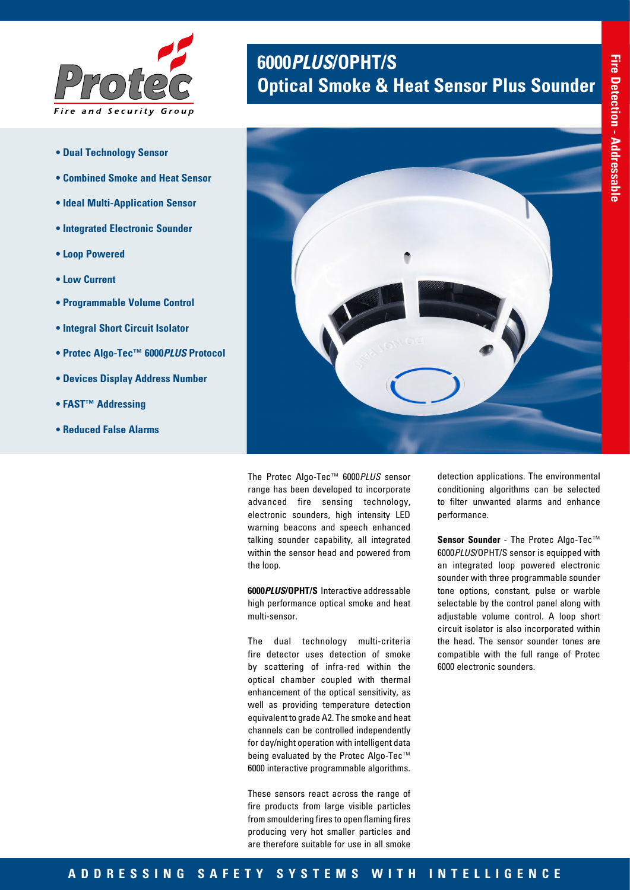

- **Dual Technology Sensor**
- **Combined Smoke and Heat Sensor**
- **Ideal Multi-Application Sensor**
- **Integrated Electronic Sounder**
- **Loop Powered**
- **Low Current**
- **Programmable Volume Control**
- **Integral Short Circuit Isolator**
- **Protec Algo-Tec™ 6000***PLUS* **Protocol**
- **Devices Display Address Number**
- **FAST™ Addressing**
- **Reduced False Alarms**

# **6000***PLUS***/OPHT/S Optical Smoke & Heat Sensor Plus Sounder**



The Protec Algo-Tec™ 6000*PLUS* sensor range has been developed to incorporate advanced fire sensing technology, electronic sounders, high intensity LED warning beacons and speech enhanced talking sounder capability, all integrated within the sensor head and powered from the loop.

**6000***PLUS***/OPHT/S** Interactive addressable high performance optical smoke and heat multi-sensor.

The dual technology multi-criteria fire detector uses detection of smoke by scattering of infra-red within the optical chamber coupled with thermal enhancement of the optical sensitivity, as well as providing temperature detection equivalent to grade A2. The smoke and heat channels can be controlled independently for day/night operation with intelligent data being evaluated by the Protec Algo-Tec™ 6000 interactive programmable algorithms.

These sensors react across the range of fire products from large visible particles from smouldering fires to open flaming fires producing very hot smaller particles and are therefore suitable for use in all smoke

detection applications. The environmental conditioning algorithms can be selected to filter unwanted alarms and enhance performance.

**Sensor Sounder** - The Protec Algo-Tec™ 6000*PLUS*/OPHT/S sensor is equipped with an integrated loop powered electronic sounder with three programmable sounder tone options, constant, pulse or warble selectable by the control panel along with adjustable volume control. A loop short circuit isolator is also incorporated within the head. The sensor sounder tones are compatible with the full range of Protec 6000 electronic sounders.